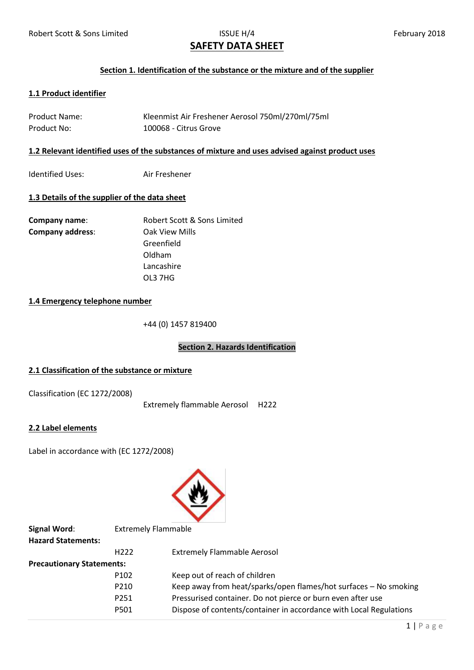# **SAFETY DATA SHEET**

#### **Section 1. Identification of the substance or the mixture and of the supplier**

# **1.1 Product identifier**

| <b>Product Name:</b> | Kleenmist Air Freshener Aerosol 750ml/270ml/75ml |
|----------------------|--------------------------------------------------|
| Product No:          | 100068 - Citrus Grove                            |

#### **1.2 Relevant identified uses of the substances of mixture and uses advised against product uses**

Identified Uses: Air Freshener

# **1.3 Details of the supplier of the data sheet**

| Company name:           | Robert Scott & Sons Limited |
|-------------------------|-----------------------------|
| <b>Company address:</b> | Oak View Mills              |
|                         | Greenfield                  |
|                         | Oldham                      |
|                         | Lancashire                  |
|                         | OL3 7HG                     |

# **1.4 Emergency telephone number**

+44 (0) 1457 819400

# **Section 2. Hazards Identification**

# **2.1 Classification of the substance or mixture**

Classification (EC 1272/2008)

Extremely flammable Aerosol H222

# **2.2 Label elements**

Label in accordance with (EC 1272/2008)



| Signal Word:                     | <b>Extremely Flammable</b> |                                                                    |  |
|----------------------------------|----------------------------|--------------------------------------------------------------------|--|
| <b>Hazard Statements:</b>        |                            |                                                                    |  |
|                                  | H <sub>222</sub>           | <b>Extremely Flammable Aerosol</b>                                 |  |
| <b>Precautionary Statements:</b> |                            |                                                                    |  |
|                                  | P <sub>102</sub>           | Keep out of reach of children                                      |  |
|                                  | P210                       | Keep away from heat/sparks/open flames/hot surfaces - No smoking   |  |
|                                  | P251                       | Pressurised container. Do not pierce or burn even after use        |  |
|                                  | P501                       | Dispose of contents/container in accordance with Local Regulations |  |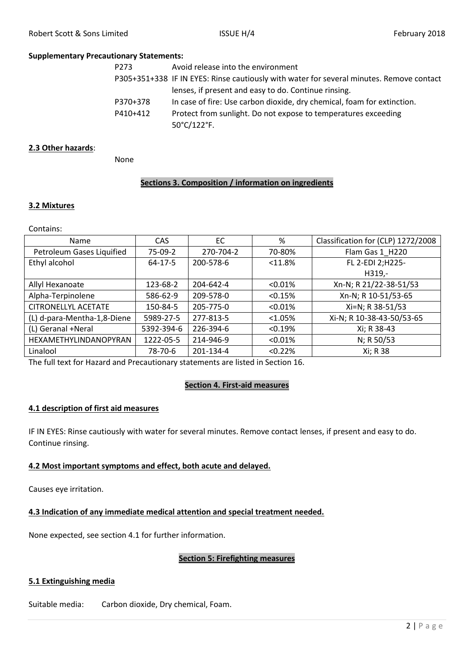#### **Supplementary Precautionary Statements:**

| P273     | Avoid release into the environment                                                       |
|----------|------------------------------------------------------------------------------------------|
|          | P305+351+338 IF IN EYES: Rinse cautiously with water for several minutes. Remove contact |
|          | lenses, if present and easy to do. Continue rinsing.                                     |
| P370+378 | In case of fire: Use carbon dioxide, dry chemical, foam for extinction.                  |
| P410+412 | Protect from sunlight. Do not expose to temperatures exceeding                           |
|          | 50°C/122°F.                                                                              |

### **2.3 Other hazards**:

None

# **Sections 3. Composition / information on ingredients**

#### **3.2 Mixtures**

Contains:

| <b>Name</b>                 | CAS.       | EC        | %          | Classification for (CLP) 1272/2008 |
|-----------------------------|------------|-----------|------------|------------------------------------|
| Petroleum Gases Liquified   | 75-09-2    | 270-704-2 | 70-80%     | Flam Gas 1 H220                    |
| Ethyl alcohol               | $64-17-5$  | 200-578-6 | < 11.8%    | FL 2-EDI 2;H225-                   |
|                             |            |           |            | $H319. -$                          |
| Allyl Hexanoate             | 123-68-2   | 204-642-4 | $< 0.01\%$ | Xn-N; R 21/22-38-51/53             |
| Alpha-Terpinolene           | 586-62-9   | 209-578-0 | < 0.15%    | Xn-N; R 10-51/53-65                |
| <b>CITRONELLYL ACETATE</b>  | 150-84-5   | 205-775-0 | < 0.01%    | Xi=N; R 38-51/53                   |
| (L) d-para-Mentha-1,8-Diene | 5989-27-5  | 277-813-5 | < 1.05%    | Xi-N; R 10-38-43-50/53-65          |
| (L) Geranal +Neral          | 5392-394-6 | 226-394-6 | < 0.19%    | Xi; R 38-43                        |
| HEXAMETHYLINDANOPYRAN       | 1222-05-5  | 214-946-9 | $< 0.01\%$ | N; R 50/53                         |
| Linalool                    | 78-70-6    | 201-134-4 | < 0.22%    | Xi; R 38                           |

The full text for Hazard and Precautionary statements are listed in Section 16.

#### **Section 4. First-aid measures**

#### **4.1 description of first aid measures**

IF IN EYES: Rinse cautiously with water for several minutes. Remove contact lenses, if present and easy to do. Continue rinsing.

# **4.2 Most important symptoms and effect, both acute and delayed.**

Causes eye irritation.

# **4.3 Indication of any immediate medical attention and special treatment needed.**

None expected, see section 4.1 for further information.

#### **Section 5: Firefighting measures**

# **5.1 Extinguishing media**

Suitable media: Carbon dioxide, Dry chemical, Foam.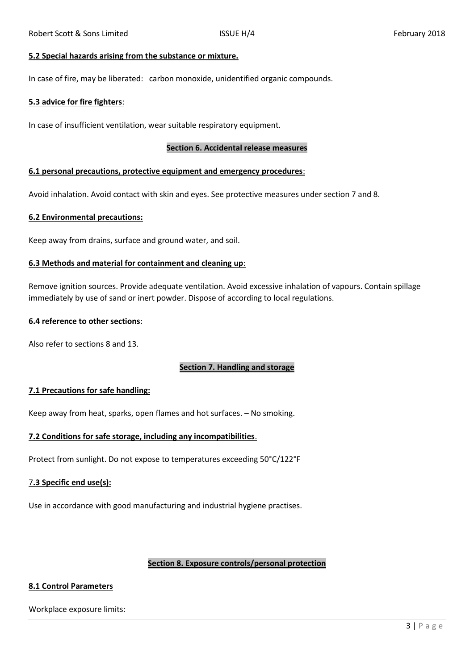#### **5.2 Special hazards arising from the substance or mixture.**

In case of fire, may be liberated: carbon monoxide, unidentified organic compounds.

#### **5.3 advice for fire fighters**:

In case of insufficient ventilation, wear suitable respiratory equipment.

#### **Section 6. Accidental release measures**

#### **6.1 personal precautions, protective equipment and emergency procedures**:

Avoid inhalation. Avoid contact with skin and eyes. See protective measures under section 7 and 8.

#### **6.2 Environmental precautions:**

Keep away from drains, surface and ground water, and soil.

#### **6.3 Methods and material for containment and cleaning up**:

Remove ignition sources. Provide adequate ventilation. Avoid excessive inhalation of vapours. Contain spillage immediately by use of sand or inert powder. Dispose of according to local regulations.

#### **6.4 reference to other sections**:

Also refer to sections 8 and 13.

#### **Section 7. Handling and storage**

#### **7.1 Precautions for safe handling:**

Keep away from heat, sparks, open flames and hot surfaces. – No smoking.

#### **7.2 Conditions for safe storage, including any incompatibilities**.

Protect from sunlight. Do not expose to temperatures exceeding 50°C/122°F

# 7**.3 Specific end use(s):**

Use in accordance with good manufacturing and industrial hygiene practises.

# **Section 8. Exposure controls/personal protection**

# **8.1 Control Parameters**

Workplace exposure limits: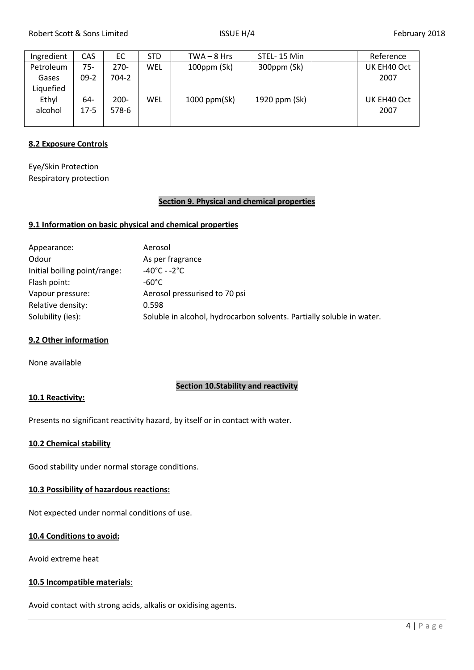| Ingredient | <b>CAS</b> | EC      | <b>STD</b> | $TWA - 8 Hrs$     | STEL-15 Min   | Reference   |
|------------|------------|---------|------------|-------------------|---------------|-------------|
| Petroleum  | 75-        | $270-$  | WEL        | $100$ ppm $(Sk)$  | 300ppm (Sk)   | UK EH40 Oct |
| Gases      | $09-2$     | 704-2   |            |                   |               | 2007        |
| Liquefied  |            |         |            |                   |               |             |
| Ethyl      | 64-        | $200 -$ | WEL        | $1000$ ppm $(Sk)$ | 1920 ppm (Sk) | UK EH40 Oct |
| alcohol    | $17-5$     | 578-6   |            |                   |               | 2007        |
|            |            |         |            |                   |               |             |

# **8.2 Exposure Controls**

Eye/Skin Protection Respiratory protection

#### **Section 9. Physical and chemical properties**

#### **9.1 Information on basic physical and chemical properties**

| Appearance:                  | Aerosol                                                               |
|------------------------------|-----------------------------------------------------------------------|
| Odour                        | As per fragrance                                                      |
| Initial boiling point/range: | $-40^{\circ}$ C - $-2^{\circ}$ C                                      |
| Flash point:                 | $-60^{\circ}$ C                                                       |
| Vapour pressure:             | Aerosol pressurised to 70 psi                                         |
| Relative density:            | 0.598                                                                 |
| Solubility (ies):            | Soluble in alcohol, hydrocarbon solvents. Partially soluble in water. |
|                              |                                                                       |

#### **9.2 Other information**

None available

# **Section 10.Stability and reactivity**

#### **10.1 Reactivity:**

Presents no significant reactivity hazard, by itself or in contact with water.

#### **10.2 Chemical stability**

Good stability under normal storage conditions.

# **10.3 Possibility of hazardous reactions:**

Not expected under normal conditions of use.

# **10.4 Conditions to avoid:**

Avoid extreme heat

# **10.5 Incompatible materials**:

Avoid contact with strong acids, alkalis or oxidising agents.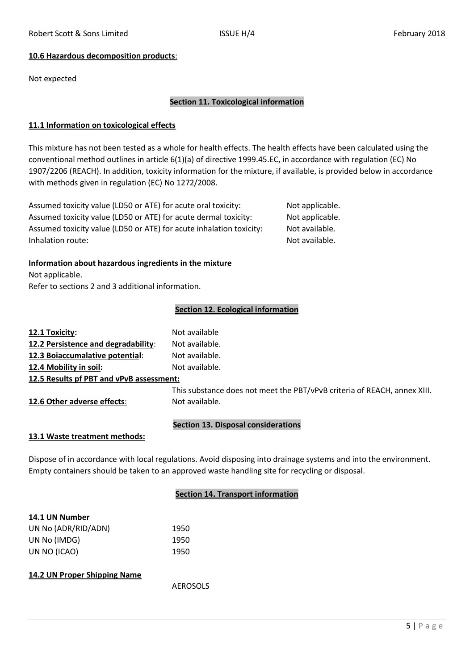# **10.6 Hazardous decomposition products**:

Not expected

# **Section 11. Toxicological information**

#### **11.1 Information on toxicological effects**

This mixture has not been tested as a whole for health effects. The health effects have been calculated using the conventional method outlines in article 6(1)(a) of directive 1999.45.EC, in accordance with regulation (EC) No 1907/2206 (REACH). In addition, toxicity information for the mixture, if available, is provided below in accordance with methods given in regulation (EC) No 1272/2008.

Assumed toxicity value (LD50 or ATE) for acute oral toxicity: Not applicable. Assumed toxicity value (LD50 or ATE) for acute dermal toxicity: Not applicable. Assumed toxicity value (LD50 or ATE) for acute inhalation toxicity: Not available. Inhalation route: Not available.

#### **Information about hazardous ingredients in the mixture**

Not applicable. Refer to sections 2 and 3 additional information.

# **Section 12. Ecological information**

# **12.1 Toxicity:** Not available **12.2 Persistence and degradability**: Not available. **12.3 Boiaccumalative potential**: Not available. **12.4 Mobility in soil:** Not available. **12.5 Results pf PBT and vPvB assessment:** This substance does not meet the PBT/vPvB criteria of REACH, annex XIII. **12.6 Other adverse effects:** Not available. **Section 13. Disposal considerations**

#### **13.1 Waste treatment methods:**

Dispose of in accordance with local regulations. Avoid disposing into drainage systems and into the environment. Empty containers should be taken to an approved waste handling site for recycling or disposal.

# **Section 14. Transport information**

| 14.1 UN Number      |      |
|---------------------|------|
| UN No (ADR/RID/ADN) | 1950 |
| UN No (IMDG)        | 1950 |
| UN NO (ICAO)        | 1950 |

#### **14.2 UN Proper Shipping Name**

AEROSOLS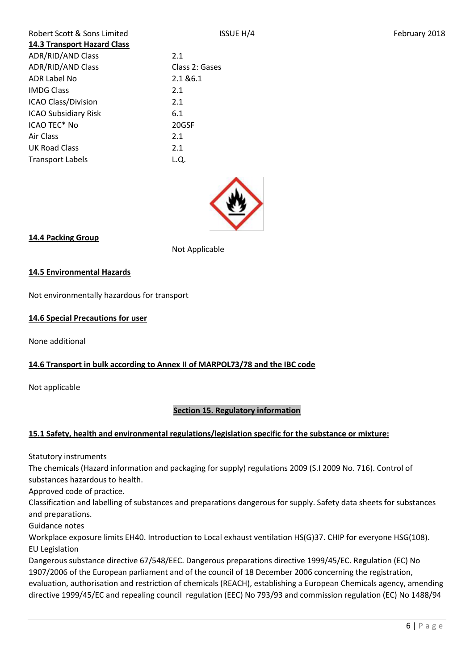| Robert Scott & Sons Limited        |                |
|------------------------------------|----------------|
| <b>14.3 Transport Hazard Class</b> |                |
| <b>ADR/RID/AND Class</b>           | 2.1            |
| <b>ADR/RID/AND Class</b>           | Class 2: Gases |
| ADR Label No                       | 2.1 & 6.1      |
| <b>IMDG Class</b>                  | 2.1            |
| <b>ICAO Class/Division</b>         | 2.1            |
| <b>ICAO Subsidiary Risk</b>        | 6.1            |
| ICAO TEC <sup>*</sup> No           | 20GSF          |
| Air Class                          | 2.1            |
| UK Road Class                      | 2.1            |
| <b>Transport Labels</b>            | L.Q.           |
|                                    |                |



# **14.4 Packing Group**

Not Applicable

# **14.5 Environmental Hazards**

Not environmentally hazardous for transport

# **14.6 Special Precautions for user**

None additional

# **14.6 Transport in bulk according to Annex II of MARPOL73/78 and the IBC code**

Not applicable

# **Section 15. Regulatory information**

# **15.1 Safety, health and environmental regulations/legislation specific for the substance or mixture:**

Statutory instruments

The chemicals (Hazard information and packaging for supply) regulations 2009 (S.I 2009 No. 716). Control of substances hazardous to health.

Approved code of practice.

Classification and labelling of substances and preparations dangerous for supply. Safety data sheets for substances and preparations.

Guidance notes

Workplace exposure limits EH40. Introduction to Local exhaust ventilation HS(G)37. CHIP for everyone HSG(108). EU Legislation

Dangerous substance directive 67/548/EEC. Dangerous preparations directive 1999/45/EC. Regulation (EC) No 1907/2006 of the European parliament and of the council of 18 December 2006 concerning the registration, evaluation, authorisation and restriction of chemicals (REACH), establishing a European Chemicals agency, amending directive 1999/45/EC and repealing council regulation (EEC) No 793/93 and commission regulation (EC) No 1488/94